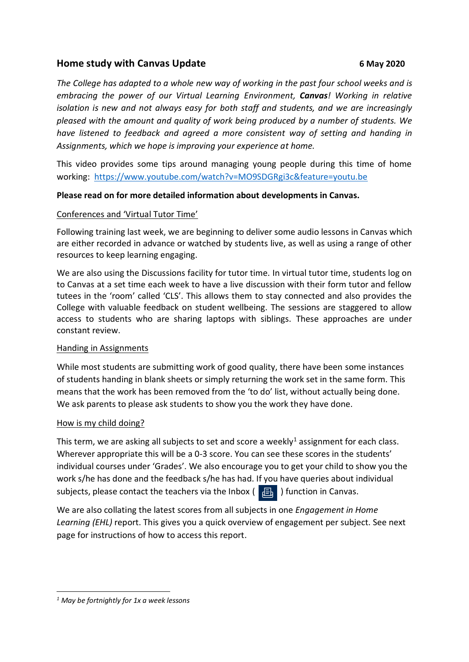# **Home study with Canvas Update 6 May 2020**

*The College has adapted to a whole new way of working in the past four school weeks and is embracing the power of our Virtual Learning Environment, Canvas! Working in relative isolation is new and not always easy for both staff and students, and we are increasingly pleased with the amount and quality of work being produced by a number of students. We have listened to feedback and agreed a more consistent way of setting and handing in Assignments, which we hope is improving your experience at home.*

This video provides some tips around managing young people during this time of home working: <https://www.youtube.com/watch?v=MO9SDGRgi3c&feature=youtu.be>

## **Please read on for more detailed information about developments in Canvas.**

### Conferences and 'Virtual Tutor Time'

Following training last week, we are beginning to deliver some audio lessons in Canvas which are either recorded in advance or watched by students live, as well as using a range of other resources to keep learning engaging.

We are also using the Discussions facility for tutor time. In virtual tutor time, students log on to Canvas at a set time each week to have a live discussion with their form tutor and fellow tutees in the 'room' called 'CLS'. This allows them to stay connected and also provides the College with valuable feedback on student wellbeing. The sessions are staggered to allow access to students who are sharing laptops with siblings. These approaches are under constant review.

### Handing in Assignments

While most students are submitting work of good quality, there have been some instances of students handing in blank sheets or simply returning the work set in the same form. This means that the work has been removed from the 'to do' list, without actually being done. We ask parents to please ask students to show you the work they have done.

### How is my child doing?

This term, we are asking all subjects to set and score a weekly<sup>1</sup> assignment for each class. Wherever appropriate this will be a 0-3 score. You can see these scores in the students' individual courses under 'Grades'. We also encourage you to get your child to show you the work s/he has done and the feedback s/he has had. If you have queries about individual subjects, please contact the teachers via the Inbox  $\left(\begin{array}{c} \Box \\ \Box \end{array}\right)$  function in Canvas.

We are also collating the latest scores from all subjects in one *Engagement in Home Learning (EHL)* report. This gives you a quick overview of engagement per subject. See next page for instructions of how to access this report.

**<sup>.</sup>** *<sup>1</sup> May be fortnightly for 1x a week lessons*